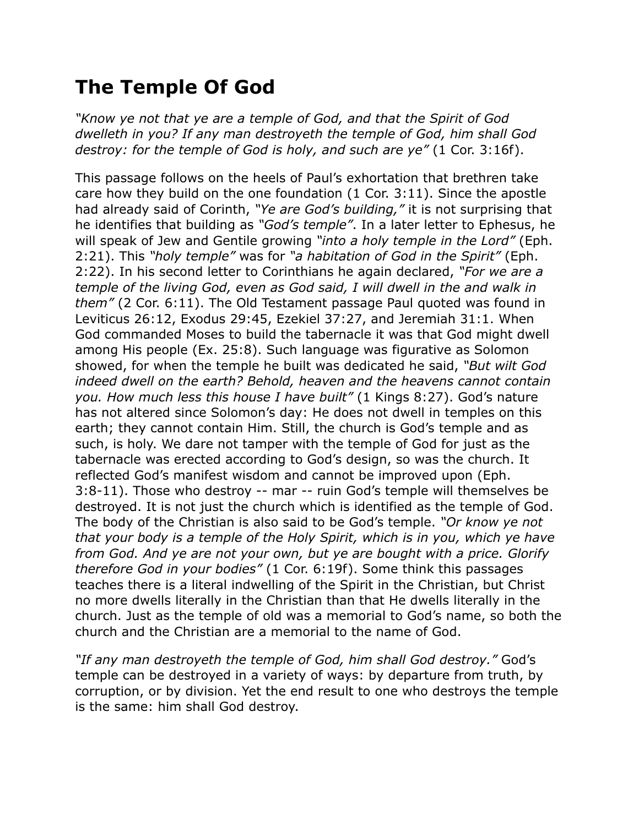## **The Temple Of God**

*"Know ye not that ye are a temple of God, and that the Spirit of God dwelleth in you? If any man destroyeth the temple of God, him shall God destroy: for the temple of God is holy, and such are ye"* (1 Cor. 3:16f).

This passage follows on the heels of Paul's exhortation that brethren take care how they build on the one foundation (1 Cor. 3:11). Since the apostle had already said of Corinth, *"Ye are God's building,"* it is not surprising that he identifies that building as *"God's temple"*. In a later letter to Ephesus, he will speak of Jew and Gentile growing *"into a holy temple in the Lord"* (Eph. 2:21). This *"holy temple"* was for *"a habitation of God in the Spirit"* (Eph. 2:22). In his second letter to Corinthians he again declared, *"For we are a temple of the living God, even as God said, I will dwell in the and walk in them"* (2 Cor. 6:11). The Old Testament passage Paul quoted was found in Leviticus 26:12, Exodus 29:45, Ezekiel 37:27, and Jeremiah 31:1. When God commanded Moses to build the tabernacle it was that God might dwell among His people (Ex. 25:8). Such language was figurative as Solomon showed, for when the temple he built was dedicated he said, *"But wilt God indeed dwell on the earth? Behold, heaven and the heavens cannot contain you. How much less this house I have built"* (1 Kings 8:27). God's nature has not altered since Solomon's day: He does not dwell in temples on this earth; they cannot contain Him. Still, the church is God's temple and as such, is holy. We dare not tamper with the temple of God for just as the tabernacle was erected according to God's design, so was the church. It reflected God's manifest wisdom and cannot be improved upon (Eph. 3:8-11). Those who destroy -- mar -- ruin God's temple will themselves be destroyed. It is not just the church which is identified as the temple of God. The body of the Christian is also said to be God's temple. *"Or know ye not that your body is a temple of the Holy Spirit, which is in you, which ye have from God. And ye are not your own, but ye are bought with a price. Glorify therefore God in your bodies"* (1 Cor. 6:19f). Some think this passages teaches there is a literal indwelling of the Spirit in the Christian, but Christ no more dwells literally in the Christian than that He dwells literally in the church. Just as the temple of old was a memorial to God's name, so both the church and the Christian are a memorial to the name of God.

*"If any man destroyeth the temple of God, him shall God destroy."* God's temple can be destroyed in a variety of ways: by departure from truth, by corruption, or by division. Yet the end result to one who destroys the temple is the same: him shall God destroy.